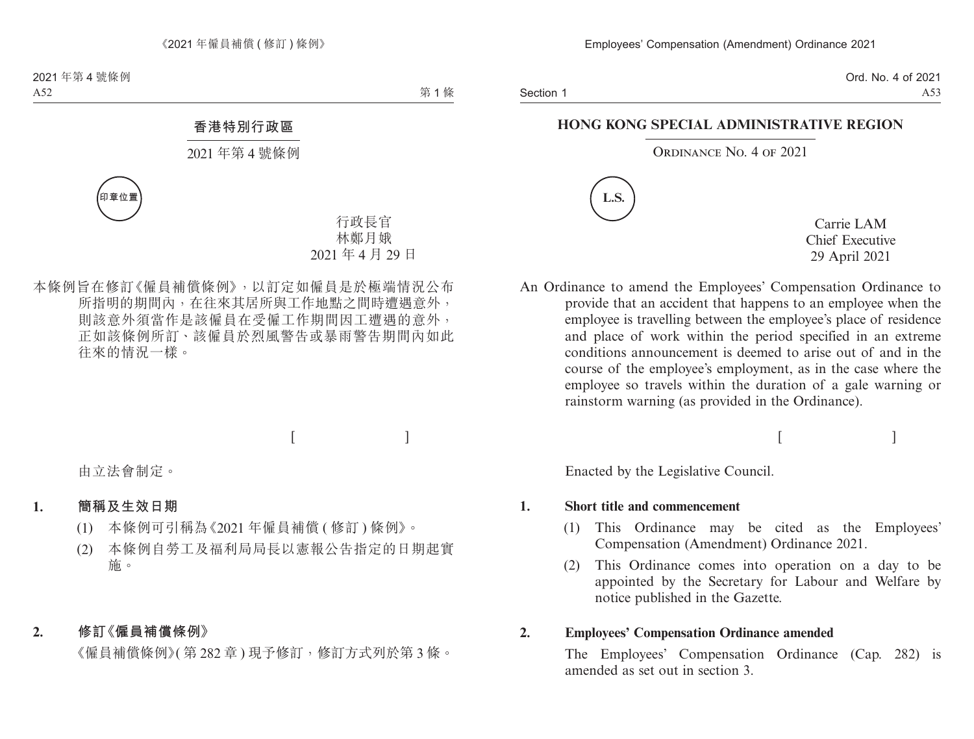Section 1

Ord. No. 4 of 2021 A53

## **HONG KONG SPECIAL ADMINISTRATIVE REGION**

### Ordinance No. 4 of 2021



Carrie LAM Chief Executive 29 April 2021

An Ordinance to amend the Employees' Compensation Ordinance to provide that an accident that happens to an employee when the employee is travelling between the employee's place of residence and place of work within the period specified in an extreme conditions announcement is deemed to arise out of and in the course of the employee's employment, as in the case where the employee so travels within the duration of a gale warning or rainstorm warning (as provided in the Ordinance).

 $[$   $]$ 

Enacted by the Legislative Council.

### **1. Short title and commencement**

- (1) This Ordinance may be cited as the Employees' Compensation (Amendment) Ordinance 2021.
- (2) This Ordinance comes into operation on a day to be appointed by the Secretary for Labour and Welfare by notice published in the Gazette.

# **2. Employees' Compensation Ordinance amended**

The Employees' Compensation Ordinance (Cap. 282) is amended as set out in section 3.